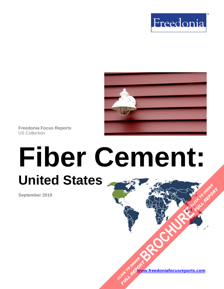



**Freedonia Focus Reports** US Collection

# **Fiber Cement: United States [BROCHURE](https://www.freedoniafocusreports.com/Fiber-Cement-United-States-FF60072/?progid=89541) CLICK TO ORDER** FULL REPORT

**September 2019**

**[www.freedoniafocusreports.com](https://www.freedoniafocusreports.com/redirect.asp?progid=89534&url=/)** CLICK TO ORDER **FULL REPORT**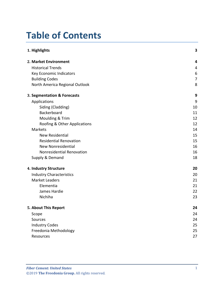# **Table of Contents**

| 1. Highlights                   | 3  |
|---------------------------------|----|
| 2. Market Environment           | 4  |
| <b>Historical Trends</b>        | 4  |
| Key Economic Indicators         | 6  |
| <b>Building Codes</b>           | 7  |
| North America Regional Outlook  | 8  |
| 3. Segmentation & Forecasts     | 9  |
| Applications                    | 9  |
| Siding (Cladding)               | 10 |
| Backerboard                     | 11 |
| Moulding & Trim                 | 12 |
| Roofing & Other Applications    | 12 |
| Markets                         | 14 |
| <b>New Residential</b>          | 15 |
| <b>Residential Renovation</b>   | 15 |
| <b>New Nonresidential</b>       | 16 |
| Nonresidential Renovation       | 16 |
| Supply & Demand                 | 18 |
| 4. Industry Structure           | 20 |
| <b>Industry Characteristics</b> | 20 |
| <b>Market Leaders</b>           | 21 |
| Elementia                       | 21 |
| James Hardie                    | 22 |
| Nichiha                         | 23 |
| 5. About This Report            | 24 |
| Scope                           | 24 |
| Sources                         | 24 |
| <b>Industry Codes</b>           | 25 |
| Freedonia Methodology           | 25 |
| Resources                       | 27 |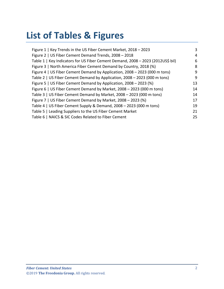# **List of Tables & Figures**

| Figure 1   Key Trends in the US Fiber Cement Market, 2018 - 2023                | 3  |
|---------------------------------------------------------------------------------|----|
| Figure 2   US Fiber Cement Demand Trends, 2008 - 2018                           | 4  |
| Table 1   Key Indicators for US Fiber Cement Demand, 2008 - 2023 (2012US\$ bil) | 6  |
| Figure 3   North America Fiber Cement Demand by Country, 2018 (%)               | 8  |
| Figure 4   US Fiber Cement Demand by Application, 2008 - 2023 (000 m tons)      | 9  |
| Table 2   US Fiber Cement Demand by Application, 2008 - 2023 (000 m tons)       | 9  |
| Figure 5   US Fiber Cement Demand by Application, 2008 – 2023 (%)               | 13 |
| Figure 6   US Fiber Cement Demand by Market, 2008 - 2023 (000 m tons)           | 14 |
| Table 3   US Fiber Cement Demand by Market, 2008 - 2023 (000 m tons)            | 14 |
| Figure 7   US Fiber Cement Demand by Market, 2008 - 2023 (%)                    | 17 |
| Table 4   US Fiber Cement Supply & Demand, 2008 - 2023 (000 m tons)             | 19 |
| Table 5   Leading Suppliers to the US Fiber Cement Market                       | 21 |
| Table 6   NAICS & SIC Codes Related to Fiber Cement                             | 25 |
|                                                                                 |    |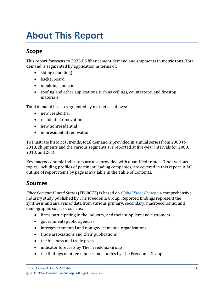# <span id="page-3-0"></span>**About This Report**

# <span id="page-3-1"></span>**Scope**

This report forecasts to 2023 US fiber cement demand and shipments in metric tons. Total demand is segmented by application in terms of:

- siding (cladding)
- backerboard
- moulding and trim
- roofing and other applications such as ceilings, countertops, and firestop materials

Total demand is also segmented by market as follows:

- new residential
- residential renovation
- new nonresidential
- nonresidential renovation

To illustrate historical trends, total demand is provided in annual series from 2008 to 2018; shipments and the various segments are reported at five-year intervals for 2008, 2013, and 2018.

Key macroeconomic indicators are also provided with quantified trends. Other various topics, including profiles of pertinent leading companies, are covered in this report. A full outline of report items by page is available in the Table of Contents.

## <span id="page-3-2"></span>**Sources**

*Fiber Cement: United States* (FF60072) is based on *[Global Fiber Cement,](http://www.freedoniagroup.com/DocumentDetails.aspx?ReferrerId=FL-FOCUS&studyid=3746)* a comprehensive industry study published by The Freedonia Group. Reported findings represent the synthesis and analysis of data from various primary, secondary, macroeconomic, and demographic sources, such as:

- firms participating in the industry, and their suppliers and customers
- government/public agencies
- intergovernmental and non-governmental organizations
- trade associations and their publications
- the business and trade press
- indicator forecasts by The Freedonia Group
- the findings of other reports and studies by The Freedonia Group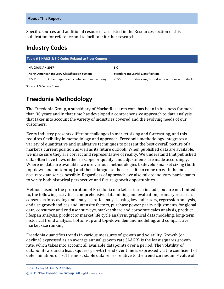Specific sources and additional resources are listed in the Resources section of this publication for reference and to facilitate further research.

## <span id="page-4-0"></span>**Industry Codes**

<span id="page-4-2"></span>

| Table 6   NAICS & SIC Codes Related to Fiber Cement |                                                      |                                           |                                               |  |
|-----------------------------------------------------|------------------------------------------------------|-------------------------------------------|-----------------------------------------------|--|
| <b>NAICS/SCIAN 2017</b>                             |                                                      | <b>SIC</b>                                |                                               |  |
|                                                     | <b>North American Industry Classification System</b> | <b>Standard Industrial Classification</b> |                                               |  |
| 322219                                              | Other paperboard container manufacturing             | 2655                                      | Fiber cans, tubs, drums, and similar products |  |

Source: US Census Bureau

# <span id="page-4-1"></span>**Freedonia Methodology**

The Freedonia Group, a subsidiary of MarketResearch.com, has been in business for more than 30 years and in that time has developed a comprehensive approach to data analysis that takes into account the variety of industries covered and the evolving needs of our customers.

Every industry presents different challenges in market sizing and forecasting, and this requires flexibility in methodology and approach. Freedonia methodology integrates a variety of quantitative and qualitative techniques to present the best overall picture of a market's current position as well as its future outlook: When published data are available, we make sure they are correct and representative of reality. We understand that published data often have flaws either in scope or quality, and adjustments are made accordingly. Where no data are available, we use various methodologies to develop market sizing (both top-down and bottom-up) and then triangulate those results to come up with the most accurate data series possible. Regardless of approach, we also talk to industry participants to verify both historical perspective and future growth opportunities.

Methods used in the preparation of Freedonia market research include, but are not limited to, the following activities: comprehensive data mining and evaluation, primary research, consensus forecasting and analysis, ratio analysis using key indicators, regression analysis, end use growth indices and intensity factors, purchase power parity adjustments for global data, consumer and end user surveys, market share and corporate sales analysis, product lifespan analysis, product or market life cycle analysis, graphical data modeling, long-term historical trend analysis, bottom-up and top-down demand modeling, and comparative market size ranking.

Freedonia quantifies trends in various measures of growth and volatility. Growth (or decline) expressed as an average annual growth rate (AAGR) is the least squares growth rate, which takes into account all available datapoints over a period. The volatility of datapoints around a least squares growth trend over time is expressed via the coefficient of determination, or  $r^2$ . The most stable data series relative to the trend carries an  $r^2$  value of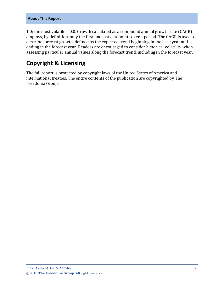#### **About This Report**

1.0; the most volatile – 0.0. Growth calculated as a compound annual growth rate (CAGR) employs, by definition, only the first and last datapoints over a period. The CAGR is used to describe forecast growth, defined as the expected trend beginning in the base year and ending in the forecast year. Readers are encouraged to consider historical volatility when assessing particular annual values along the forecast trend, including in the forecast year.

## **Copyright & Licensing**

The full report is protected by copyright laws of the United States of America and international treaties. The entire contents of the publication are copyrighted by The Freedonia Group.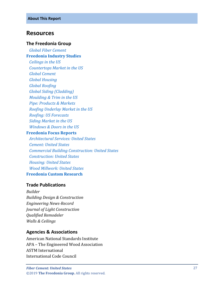### <span id="page-6-0"></span>**Resources**

#### **The Freedonia Group**

 *[Global Fiber Cement](http://www.freedoniagroup.com/DocumentDetails.aspx?ReferrerId=FL-FOCUS&studyid=3746)* **[Freedonia Industry Studies](http://www.freedoniagroup.com/Home.aspx?ReferrerId=FL-Focus)**

 *[Ceilings in the US](http://www.freedoniagroup.com/DocumentDetails.aspx?ReferrerId=FL-FOCUS&studyid=3719) [Countertops Market in the US](http://www.freedoniagroup.com/DocumentDetails.aspx?ReferrerId=FL-FOCUS&studyid=3606) [Global Cement](http://www.freedoniagroup.com/DocumentDetails.aspx?ReferrerId=FL-FOCUS&studyid=3699) [Global Housing](http://www.freedoniagroup.com/DocumentDetails.aspx?ReferrerId=FL-FOCUS&studyid=3678) [Global Roofing](http://www.freedoniagroup.com/DocumentDetails.aspx?ReferrerId=FL-FOCUS&studyid=3698) [Global Siding \(Cladding\)](http://www.freedoniagroup.com/DocumentDetails.aspx?ReferrerId=FL-FOCUS&studyid=3691) [Moulding & Trim in the US](http://www.freedoniagroup.com/DocumentDetails.aspx?ReferrerId=FL-FOCUS&studyid=3617) [Pipe: Products & Markets](http://www.freedoniagroup.com/DocumentDetails.aspx?ReferrerId=FL-FOCUS&studyid=3675) [Roofing Underlay Market in the US](http://www.freedoniagroup.com/DocumentDetails.aspx?ReferrerId=FL-FOCUS&studyid=3473) [Roofing: US Forecasts](http://www.freedoniagroup.com/DocumentDetails.aspx?ReferrerId=FL-FOCUS&studyid=3564) [Siding Market in the US](http://www.freedoniagroup.com/DocumentDetails.aspx?ReferrerId=FL-FOCUS&studyid=3602) [Windows & Doors in the US](http://www.freedoniagroup.com/DocumentDetails.aspx?ReferrerId=FL-FOCUS&studyid=3726)*

#### **[Freedonia Focus Reports](https://www.freedoniafocusreports.com/redirect.asp?progid=89534&url=/)**

 *[Architectural Services: United States](https://www.freedoniafocusreports.com/Architectural-Services-United-States-FF95039/?progid=89534) [Cement: United States](https://www.freedoniafocusreports.com/Cement-United-States-FF60013/?progid=89534) [Commercial Building Construction: United States](https://www.freedoniafocusreports.com/Commercial-Building-Construction-United-States-FF60032/?progid=89534) [Construction: United States](https://www.freedoniafocusreports.com/Construction-United-States-FF60054/?progid=89534) [Housing: United States](https://www.freedoniafocusreports.com/Housing-United-States-FF60024/?progid=89534) [Wood Millwork: United States](https://www.freedoniafocusreports.com/Wood-Millwork-United-States-FF20012/?progid=89534)* **[Freedonia Custom Research](http://www.freedoniagroup.com/CustomResearch.aspx?ReferrerId=FL-Focus)**

#### **Trade Publications**

*Builder Building Design & Construction Engineering News-Record Journal of Light Construction Qualified Remodeler Walls & Ceilings*

#### **Agencies & Associations**

American National Standards Institute APA – The Engineered Wood Association ASTM International International Code Council